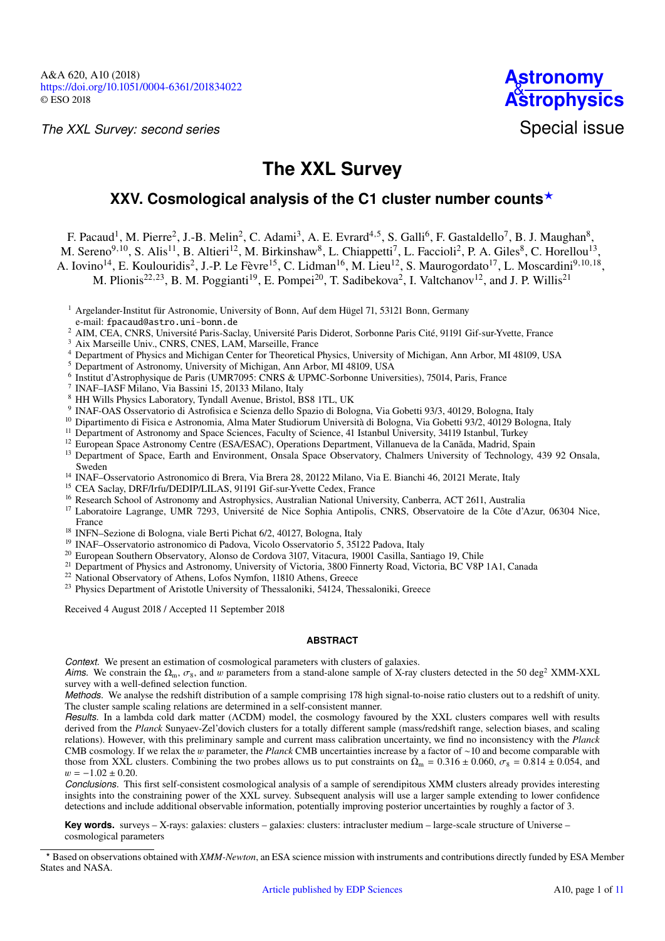*The XXL Survey: second series*



# **The XXL Survey**

## **XXV. Cosmological analysis of the C1 cluster number counts**?

F. Pacaud<sup>[1](#page-0-0)</sup>, M. Pierre<sup>[2](#page-0-1)</sup>, J.-B. Melin<sup>2</sup>, C. Adami<sup>[3](#page-0-2)</sup>, A. E. Evrard<sup>[4](#page-0-3)[,5](#page-0-4)</sup>, S. Galli<sup>[6](#page-0-5)</sup>, F. Gastaldello<sup>[7](#page-0-6)</sup>, B. J. Maughan<sup>[8](#page-0-7)</sup>, M. Sereno<sup>[9,](#page-0-8)[10](#page-0-9)</sup>, S. Alis<sup>[11](#page-0-10)</sup>, B. Altieri<sup>[12](#page-0-11)</sup>, M. Birkinshaw<sup>[8](#page-0-7)</sup>, L. Chiappetti<sup>[7](#page-0-6)</sup>, L. Faccioli<sup>[2](#page-0-1)</sup>, P. A. Giles<sup>8</sup>, C. Horellou<sup>[13](#page-0-12)</sup>, A. Iovino<sup>[14](#page-0-13)</sup>, E. Koulouridis<sup>[2](#page-0-1)</sup>, J.-P. Le Fèvre<sup>[15](#page-0-14)</sup>, C. Lidman<sup>[16](#page-0-15)</sup>, M. Lieu<sup>[12](#page-0-11)</sup>, S. Maurogordato<sup>[17](#page-0-16)</sup>, L. Moscardini<sup>[9](#page-0-8)[,10,](#page-0-9)[18](#page-0-17)</sup>,

M. Plionis<sup>[22,](#page-0-18)[23](#page-0-19)</sup>, B. M. Poggianti<sup>[19](#page-0-20)</sup>, E. Pompei<sup>[20](#page-0-21)</sup>, T. Sadibekova<sup>[2](#page-0-1)</sup>, I. Valtchanov<sup>[12](#page-0-11)</sup>, and J. P. Willis<sup>[21](#page-0-22)</sup>

- <span id="page-0-0"></span><sup>1</sup> Argelander-Institut für Astronomie, University of Bonn, Auf dem Hügel 71, 53121 Bonn, Germany
- e-mail: [fpacaud@astro.uni-bonn.de](mailto:fpacaud@astro.uni-bonn.de) <sup>2</sup> AIM, CEA, CNRS, Université Paris-Saclay, Université Paris Diderot, Sorbonne Paris Cité, 91191 Gif-sur-Yvette, France
- <span id="page-0-1"></span><sup>3</sup> Aix Marseille Univ., CNRS, CNES, LAM, Marseille, France
- <span id="page-0-3"></span><span id="page-0-2"></span><sup>4</sup> Department of Physics and Michigan Center for Theoretical Physics, University of Michigan, Ann Arbor, MI 48109, USA
- <span id="page-0-4"></span><sup>5</sup> Department of Astronomy, University of Michigan, Ann Arbor, MI 48109, USA
- <span id="page-0-5"></span>6 Institut d'Astrophysique de Paris (UMR7095: CNRS & UPMC-Sorbonne Universities), 75014, Paris, France
- <span id="page-0-6"></span>7 INAF–IASF Milano, Via Bassini 15, 20133 Milano, Italy
- <span id="page-0-7"></span><sup>8</sup> HH Wills Physics Laboratory, Tyndall Avenue, Bristol, BS8 1TL, UK
- <span id="page-0-8"></span>9 INAF-OAS Osservatorio di Astrofisica e Scienza dello Spazio di Bologna, Via Gobetti 93/3, 40129, Bologna, Italy
- <span id="page-0-9"></span><sup>10</sup> Dipartimento di Fisica e Astronomia, Alma Mater Studiorum Università di Bologna, Via Gobetti 93/2, 40129 Bologna, Italy
- <span id="page-0-10"></span><sup>11</sup> Department of Astronomy and Space Sciences, Faculty of Science, 41 Istanbul University, 34119 Istanbul, Turkey
- <span id="page-0-11"></span><sup>12</sup> European Space Astronomy Centre (ESA/ESAC), Operations Department, Villanueva de la Canãda, Madrid, Spain
- <span id="page-0-12"></span><sup>13</sup> Department of Space, Earth and Environment, Onsala Space Observatory, Chalmers University of Technology, 439 92 Onsala, Sweden
- <span id="page-0-13"></span><sup>14</sup> INAF–Osservatorio Astronomico di Brera, Via Brera 28, 20122 Milano, Via E. Bianchi 46, 20121 Merate, Italy
- <span id="page-0-14"></span><sup>15</sup> CEA Saclay, DRF/Irfu/DEDIP/LILAS, 91191 Gif-sur-Yvette Cedex, France
- <span id="page-0-15"></span><sup>16</sup> Research School of Astronomy and Astrophysics, Australian National University, Canberra, ACT 2611, Australia
- <span id="page-0-16"></span><sup>17</sup> Laboratoire Lagrange, UMR 7293, Université de Nice Sophia Antipolis, CNRS, Observatoire de la Côte d'Azur, 06304 Nice, France
- <span id="page-0-17"></span><sup>18</sup> INFN–Sezione di Bologna, viale Berti Pichat 6/2, 40127, Bologna, Italy
- <span id="page-0-20"></span><sup>19</sup> INAF-Osservatorio astronomico di Padova, Vicolo Osservatorio 5, 35122 Padova, Italy
- <span id="page-0-21"></span><sup>20</sup> European Southern Observatory, Alonso de Cordova 3107, Vitacura, 19001 Casilla, Santiago 19, Chile
- <span id="page-0-22"></span><sup>21</sup> Department of Physics and Astronomy, University of Victoria, 3800 Finnerty Road, Victoria, BC V8P 1A1, Canada
- <span id="page-0-18"></span><sup>22</sup> National Observatory of Athens, Lofos Nymfon, 11810 Athens, Greece
- <span id="page-0-19"></span><sup>23</sup> Physics Department of Aristotle University of Thessaloniki, 54124, Thessaloniki, Greece

Received 4 August 2018 / Accepted 11 September 2018

## **ABSTRACT**

*Context.* We present an estimation of cosmological parameters with clusters of galaxies.

*Aims.* We constrain the  $\Omega_m$ ,  $\sigma_8$ , and w parameters from a stand-alone sample of X-ray clusters detected in the 50 deg<sup>2</sup> XMM-XXL survey with a well-defined selection function.

*Methods.* We analyse the redshift distribution of a sample comprising 178 high signal-to-noise ratio clusters out to a redshift of unity. The cluster sample scaling relations are determined in a self-consistent manner.

*Results.* In a lambda cold dark matter (ΛCDM) model, the cosmology favoured by the XXL clusters compares well with results derived from the *Planck* Sunyaev-Zel'dovich clusters for a totally different sample (mass/redshift range, selection biases, and scaling relations). However, with this preliminary sample and current mass calibration uncertainty, we find no inconsistency with the *Planck* CMB cosmology. If we relax the w parameter, the *Planck* CMB uncertainties increase by a factor of <sup>∼</sup>10 and become comparable with those from XXL clusters. Combining the two probes allows us to put constraints on  $\Omega_m = 0.316 \pm 0.060$ ,  $\sigma_8 = 0.814 \pm 0.054$ , and  $w = -1.02 \pm 0.20$ .

*Conclusions.* This first self-consistent cosmological analysis of a sample of serendipitous XMM clusters already provides interesting insights into the constraining power of the XXL survey. Subsequent analysis will use a larger sample extending to lower confidence detections and include additional observable information, potentially improving posterior uncertainties by roughly a factor of 3.

**Key words.** surveys – X-rays: galaxies: clusters – galaxies: clusters: intracluster medium – large-scale structure of Universe – cosmological parameters

<sup>?</sup> Based on observations obtained with *XMM-Newton*, an ESA science mission with instruments and contributions directly funded by ESA Member States and NASA.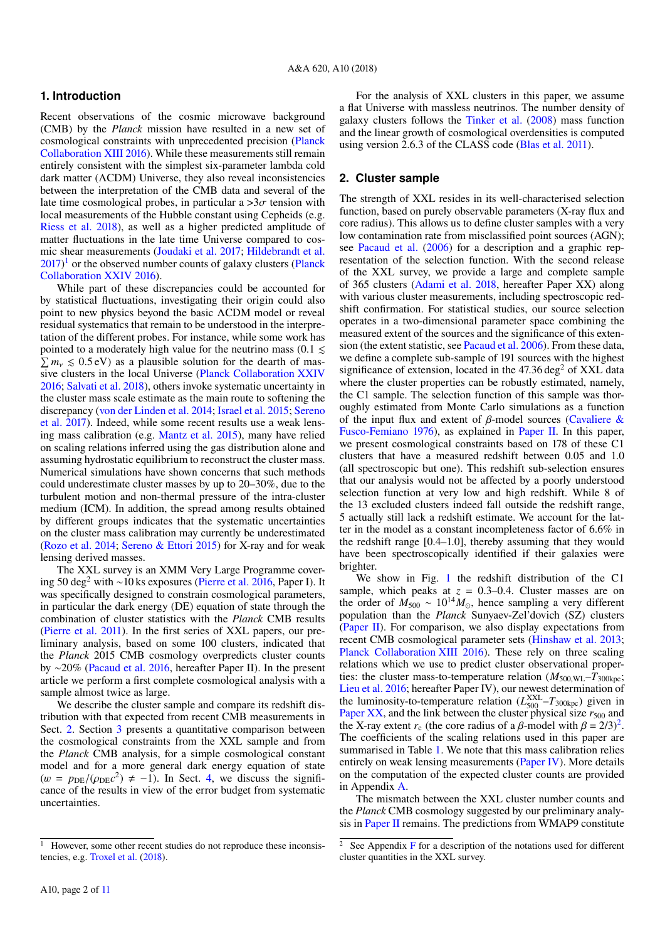## **1. Introduction**

Recent observations of the cosmic microwave background (CMB) by the *Planck* mission have resulted in a new set of cosmological constraints with unprecedented precision [\(Planck](#page-5-0) [Collaboration XIII](#page-5-0) [2016\)](#page-5-0). While these measurements still remain entirely consistent with the simplest six-parameter lambda cold dark matter (ΛCDM) Universe, they also reveal inconsistencies between the interpretation of the CMB data and several of the late time cosmological probes, in particular a  $>3\sigma$  tension with local measurements of the Hubble constant using Cepheids (e.g. [Riess et al.](#page-5-1) [2018\)](#page-5-1), as well as a higher predicted amplitude of matter fluctuations in the late time Universe compared to cosmic shear measurements [\(Joudaki et al.](#page-5-2) [2017;](#page-5-2) [Hildebrandt et al.](#page-5-3)  $(2017)^1$  $(2017)^1$  $(2017)^1$  $(2017)^1$  or the observed number counts of galaxy clusters [\(Planck](#page-5-4) [Collaboration XXIV](#page-5-4) [2016\)](#page-5-4).

While part of these discrepancies could be accounted for by statistical fluctuations, investigating their origin could also point to new physics beyond the basic ΛCDM model or reveal residual systematics that remain to be understood in the interpretation of the different probes. For instance, while some work has pointed to a moderately high value for the neutrino mass (0.1  $\leq$  $\sum m_{\nu} \leq 0.5$  eV) as a plausible solution for the dearth of mas-<br>sive clusters in the local Universe (Planck Collaboration XXIV) sive clusters in the local Universe [\(Planck Collaboration XXIV](#page-5-4) [2016;](#page-5-4) [Salvati et al.](#page-5-5) [2018\)](#page-5-5), others invoke systematic uncertainty in the cluster mass scale estimate as the main route to softening the discrepancy [\(von der Linden et al.](#page-5-6) [2014;](#page-5-6) [Israel et al.](#page-5-7) [2015;](#page-5-7) [Sereno](#page-5-8) [et al.](#page-5-8) [2017\)](#page-5-8). Indeed, while some recent results use a weak lensing mass calibration (e.g. [Mantz et al.](#page-5-9) [2015\)](#page-5-9), many have relied on scaling relations inferred using the gas distribution alone and assuming hydrostatic equilibrium to reconstruct the cluster mass. Numerical simulations have shown concerns that such methods could underestimate cluster masses by up to 20–30%, due to the turbulent motion and non-thermal pressure of the intra-cluster medium (ICM). In addition, the spread among results obtained by different groups indicates that the systematic uncertainties on the cluster mass calibration may currently be underestimated [\(Rozo et al.](#page-5-10) [2014;](#page-5-10) [Sereno & Ettori](#page-5-11) [2015\)](#page-5-11) for X-ray and for weak lensing derived masses.

The XXL survey is an XMM Very Large Programme covering 50 deg<sup>2</sup> with ∼10 ks exposures [\(Pierre et al.](#page-5-12) [2016,](#page-5-12) Paper I). It was specifically designed to constrain cosmological parameters, in particular the dark energy (DE) equation of state through the combination of cluster statistics with the *Planck* CMB results [\(Pierre et al.](#page-5-13) [2011\)](#page-5-13). In the first series of XXL papers, our preliminary analysis, based on some 100 clusters, indicated that the *Planck* 2015 CMB cosmology overpredicts cluster counts by ∼20% [\(Pacaud et al.](#page-5-14) [2016,](#page-5-14) hereafter Paper II). In the present article we perform a first complete cosmological analysis with a sample almost twice as large.

We describe the cluster sample and compare its redshift distribution with that expected from recent CMB measurements in Sect. [2.](#page-1-1) Section [3](#page-2-0) presents a quantitative comparison between the cosmological constraints from the XXL sample and from the *Planck* CMB analysis, for a simple cosmological constant model and for a more general dark energy equation of state  $(w = p_{\text{DE}}/(p_{\text{DE}}c^2) \neq -1)$ . In Sect. [4,](#page-3-0) we discuss the significance of the results in view of the error budget from systematic cance of the results in view of the error budget from systematic uncertainties.

For the analysis of XXL clusters in this paper, we assume a flat Universe with massless neutrinos. The number density of galaxy clusters follows the [Tinker et al.](#page-5-16) [\(2008\)](#page-5-16) mass function and the linear growth of cosmological overdensities is computed using version 2.6.3 of the CLASS code [\(Blas et al.](#page-5-17) [2011\)](#page-5-17).

## <span id="page-1-1"></span>**2. Cluster sample**

The strength of XXL resides in its well-characterised selection function, based on purely observable parameters (X-ray flux and core radius). This allows us to define cluster samples with a very low contamination rate from misclassified point sources (AGN); see [Pacaud et al.](#page-5-18) [\(2006\)](#page-5-18) for a description and a graphic representation of the selection function. With the second release of the XXL survey, we provide a large and complete sample of 365 clusters [\(Adami et al.](#page-5-19) [2018,](#page-5-19) hereafter Paper XX) along with various cluster measurements, including spectroscopic redshift confirmation. For statistical studies, our source selection operates in a two-dimensional parameter space combining the measured extent of the sources and the significance of this extension (the extent statistic, see [Pacaud et al.](#page-5-18) [2006\)](#page-5-18). From these data, we define a complete sub-sample of 191 sources with the highest significance of extension, located in the  $47.36 \text{ deg}^2$  of XXL data where the cluster properties can be robustly estimated, namely, the C1 sample. The selection function of this sample was thoroughly estimated from Monte Carlo simulations as a function of the input flux and extent of  $\beta$ -model sources [\(Cavaliere &](#page-5-20) [Fusco-Femiano](#page-5-20) [1976\)](#page-5-20), as explained in [Paper II.](#page-5-14) In this paper, we present cosmological constraints based on 178 of these C1 clusters that have a measured redshift between 0.05 and 1.0 (all spectroscopic but one). This redshift sub-selection ensures that our analysis would not be affected by a poorly understood selection function at very low and high redshift. While 8 of the 13 excluded clusters indeed fall outside the redshift range, 5 actually still lack a redshift estimate. We account for the latter in the model as a constant incompleteness factor of 6.6% in the redshift range [0.4–1.0], thereby assuming that they would have been spectroscopically identified if their galaxies were brighter.

We show in Fig. [1](#page-2-1) the redshift distribution of the C1 sample, which peaks at  $z = 0.3{\text -}0.4$ . Cluster masses are on the order of  $M_{500} \sim 10^{14} M_{\odot}$ , hence sampling a very different population than the *Planck* Sunyaev-Zel'dovich (SZ) clusters [\(Paper II\)](#page-5-14). For comparison, we also display expectations from recent CMB cosmological parameter sets [\(Hinshaw et al.](#page-5-21) [2013;](#page-5-21) [Planck Collaboration XIII](#page-5-0) [2016\)](#page-5-0). These rely on three scaling relations which we use to predict cluster observational properties: the cluster mass-to-temperature relation  $(M_{500, WL} - T_{300kpc})$ ; [Lieu et al.](#page-5-22) [2016;](#page-5-22) hereafter Paper IV), our newest determination of the luminosity-to-temperature relation  $(L_{500}^{XXL} - T_{300kpc})$  given in [Paper XX,](#page-5-19) and the link between the cluster physical size  $r_{500}$  and the X-ray extent  $r_c$  (the core radius of a β-model with  $\beta = 2/3$  $\beta = 2/3$  $\beta = 2/3$ )<sup>2</sup>.<br>The coefficients of the scaling relations used in this paper are The coefficients of the scaling relations used in this paper are summarised in Table [1.](#page-2-2) We note that this mass calibration relies entirely on weak lensing measurements [\(Paper IV\)](#page-5-22). More details on the computation of the expected cluster counts are provided in Appendix [A.](#page-6-0)

The mismatch between the XXL cluster number counts and the *Planck* CMB cosmology suggested by our preliminary analysis in [Paper II](#page-5-14) remains. The predictions from WMAP9 constitute

<span id="page-1-0"></span><sup>&</sup>lt;sup>1</sup> However, some other recent studies do not reproduce these inconsistencies, e.g. [Troxel et al.](#page-5-15) [\(2018\)](#page-5-15).

<span id="page-1-2"></span>See Appendix  $\overline{F}$  $\overline{F}$  $\overline{F}$  for a description of the notations used for different cluster quantities in the XXL survey.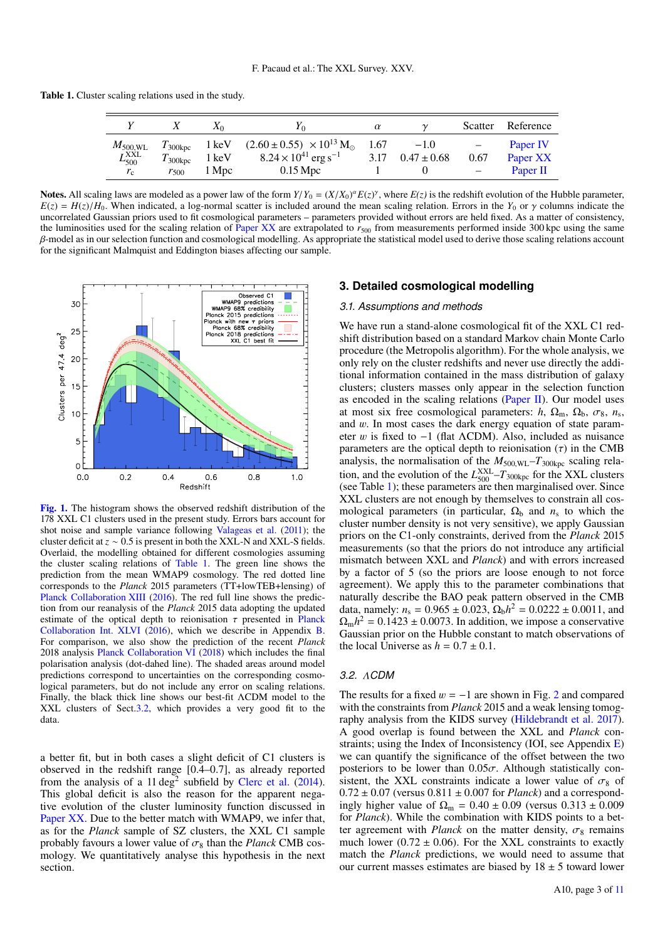<span id="page-2-2"></span>Table 1. Cluster scaling relations used in the study.

|                                                            |                                                  | Λo                      | $I_{0}$                                                                                                               |              | $\gamma$                  | Scatter                                      | Reference                        |
|------------------------------------------------------------|--------------------------------------------------|-------------------------|-----------------------------------------------------------------------------------------------------------------------|--------------|---------------------------|----------------------------------------------|----------------------------------|
| $M_{500, \text{WL}}$<br>$L^{\rm XXL}_{500}$<br>$r_{\rm c}$ | $T_{300\text{kpc}}$<br>$T_{300kpc}$<br>$r_{500}$ | 1 keV<br>1 keV<br>1 Mpc | $(2.60 \pm 0.55) \times 10^{13}$ M <sub>o</sub><br>$8.24 \times 10^{41}$ erg s <sup>-1</sup><br>$0.15 \,\mathrm{Mpc}$ | 1.67<br>3.17 | $-1.0$<br>$0.47 \pm 0.68$ | $\overline{\phantom{0}}$<br>0.67<br>$\equiv$ | Paper IV<br>Paper XX<br>Paper II |

Notes. All scaling laws are modeled as a power law of the form  $Y/Y_0 = (X/X_0)^{\alpha} E(z)^{\gamma}$ , where  $E(z)$  is the redshift evolution of the Hubble parameter,<br> $E(z) = H(z)/H_0$ . When indicated a log-normal scatter is included around th  $E(z) = H(z)/H_0$ . When indicated, a log-normal scatter is included around the mean scaling relation. Errors in the  $Y_0$  or  $\gamma$  columns indicate the uncorrelated Gaussian priors used to fit cosmological parameters – parameters provided without errors are held fixed. As a matter of consistency, the luminosities used for the scaling relation of [Paper XX](#page-5-19) are extrapolated to  $r_{500}$  from measurements performed inside 300 kpc using the same  $\beta$ -model as in our selection function and cosmological modelling. As appropriate the statistical model used to derive those scaling relations account for the significant Malmquist and Eddington biases affecting our sample.



<span id="page-2-1"></span>[Fig. 1.](http://dexter.edpsciences.org/applet.php?DOI=10.1051/0004-6361/201834022&pdf_id=0) The histogram shows the observed redshift distribution of the 178 XXL C1 clusters used in the present study. Errors bars account for shot noise and sample variance following [Valageas et al.](#page-5-23) [\(2011\)](#page-5-23); the cluster deficit at  $z \sim 0.5$  is present in both the XXL-N and XXL-S fields. Overlaid, the modelling obtained for different cosmologies assuming the cluster scaling relations of [Table 1.](#page-2-2) The green line shows the prediction from the mean WMAP9 cosmology. The red dotted line corresponds to the *Planck* 2015 parameters (TT+lowTEB+lensing) of [Planck Collaboration XIII](#page-5-0) [\(2016\)](#page-5-0). The red full line shows the prediction from our reanalysis of the *Planck* 2015 data adopting the updated estimate of the optical depth to reionisation  $\tau$  presented in [Planck](#page-5-24) [Collaboration Int. XLVI](#page-5-24) [\(2016\)](#page-5-24), which we describe in Appendix [B.](#page-6-1) For comparison, we also show the prediction of the recent *Planck* 2018 analysis [Planck Collaboration VI](#page-5-25) [\(2018\)](#page-5-25) which includes the final polarisation analysis (dot-dahed line). The shaded areas around model predictions correspond to uncertainties on the corresponding cosmological parameters, but do not include any error on scaling relations. Finally, the black thick line shows our best-fit ΛCDM model to the XXL clusters of Sect[.3.2,](#page-2-3) which provides a very good fit to the data.

a better fit, but in both cases a slight deficit of C1 clusters is observed in the redshift range [0.4–0.7], as already reported from the analysis of a 11 deg<sup>2</sup> subfield by [Clerc et al.](#page-5-26)  $(2014)$ . This global deficit is also the reason for the apparent negative evolution of the cluster luminosity function discussed in [Paper XX.](#page-5-19) Due to the better match with WMAP9, we infer that, as for the *Planck* sample of SZ clusters, the XXL C1 sample probably favours a lower value of  $\sigma_8$  than the *Planck* CMB cosmology. We quantitatively analyse this hypothesis in the next section.

## <span id="page-2-0"></span>**3. Detailed cosmological modelling**

#### <span id="page-2-4"></span>*3.1. Assumptions and methods*

We have run a stand-alone cosmological fit of the XXL C1 redshift distribution based on a standard Markov chain Monte Carlo procedure (the Metropolis algorithm). For the whole analysis, we only rely on the cluster redshifts and never use directly the additional information contained in the mass distribution of galaxy clusters; clusters masses only appear in the selection function as encoded in the scaling relations [\(Paper II\)](#page-5-14). Our model uses at most six free cosmological parameters: *h*,  $\Omega_{\rm m}$ ,  $\Omega_{\rm b}$ ,  $\sigma_8$ ,  $n_s$ , and *w*. In most cases the dark energy equation of state paramand w. In most cases the dark energy equation of state parameter w is fixed to  $-1$  (flat  $\Lambda$ CDM). Also, included as nuisance parameters are the optical depth to reionisation  $(\tau)$  in the CMB analysis, the normalisation of the  $M_{500,\text{WL}}-T_{300\text{kpc}}$  scaling relation, and the evolution of the  $L_{500}^{\text{XXL}} - T_{300\text{kpc}}$  for the XXL clusters (see Table [1\)](#page-2-2); these parameters are then marginalised over. Since XXL clusters are not enough by themselves to constrain all cosmological parameters (in particular,  $\Omega_b$  and  $n_s$  to which the cluster number density is not very sensitive), we apply Gaussian priors on the C1-only constraints, derived from the *Planck* 2015 measurements (so that the priors do not introduce any artificial mismatch between XXL and *Planck*) and with errors increased by a factor of 5 (so the priors are loose enough to not force agreement). We apply this to the parameter combinations that naturally describe the BAO peak pattern observed in the CMB data, namely:  $n_s = 0.965 \pm 0.023$ ,  $\Omega_b h^2 = 0.0222 \pm 0.0011$ , and  $\Omega_b h^2 = 0.1423 + 0.0073$ . In addition, we impose a conservative  $\Omega_{\rm m}h^2 = 0.1423 \pm 0.0073$ . In addition, we impose a conservative Gaussian prior on the Hubble constant to match observations of Gaussian prior on the Hubble constant to match observations of the local Universe as  $h = 0.7 \pm 0.1$ .

#### <span id="page-2-3"></span>*3.2.* Λ*CDM*

The results for a fixed  $w = -1$  are shown in Fig. [2](#page-3-1) and compared with the constraints from *Planck* 2015 and a weak lensing tomography analysis from the KIDS survey [\(Hildebrandt et al.](#page-5-3) [2017\)](#page-5-3). A good overlap is found between the XXL and *Planck* constraints; using the Index of Inconsistency (IOI, see Appendix [E\)](#page-10-1) we can quantify the significance of the offset between the two posteriors to be lower than  $0.05\sigma$ . Although statistically consistent, the XXL constraints indicate a lower value of  $\sigma_8$  of  $0.72 \pm 0.07$  (versus  $0.811 \pm 0.007$  for *Planck*) and a correspondingly higher value of  $\Omega_{\rm m} = 0.40 \pm 0.09$  (versus  $0.313 \pm 0.009$ for *Planck*). While the combination with KIDS points to a better agreement with *Planck* on the matter density,  $\sigma_8$  remains much lower ( $0.72 \pm 0.06$ ). For the XXL constraints to exactly match the *Planck* predictions, we would need to assume that our current masses estimates are biased by  $18 \pm 5$  toward lower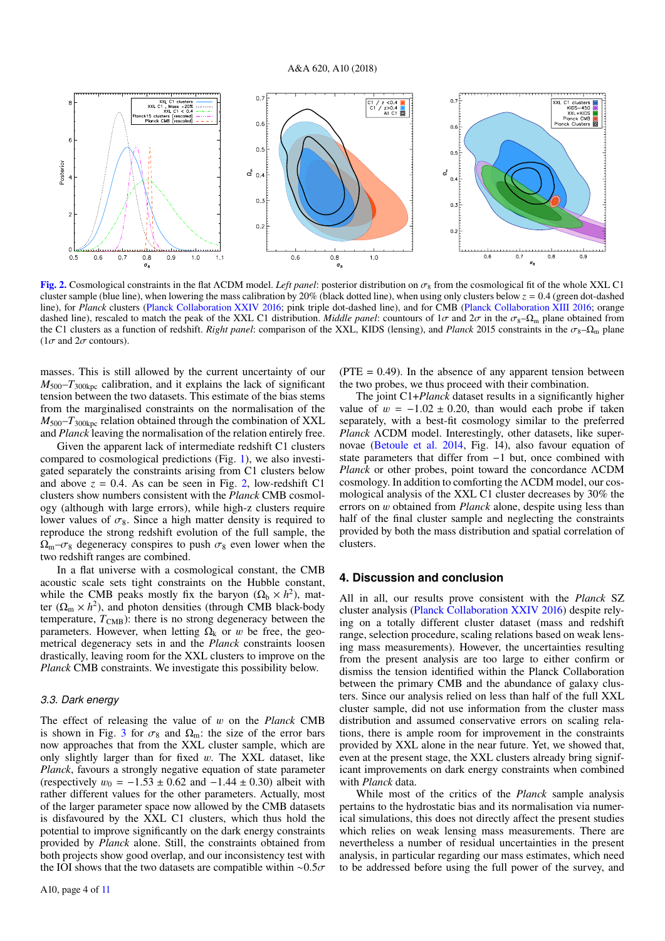

<span id="page-3-1"></span>[Fig. 2.](http://dexter.edpsciences.org/applet.php?DOI=10.1051/0004-6361/201834022&pdf_id=0) Cosmological constraints in the flat ΛCDM model. *Left panel*: posterior distribution on  $\sigma_{\delta}$  from the cosmological fit of the whole XXL C1 cluster sample (blue line), when lowering the mass calibration by 20% (black dotted line), when using only clusters below *<sup>z</sup>* <sup>=</sup> <sup>0</sup>.<sup>4</sup> (green dot-dashed line), for *Planck* clusters [\(Planck Collaboration XXIV](#page-5-4) [2016;](#page-5-4) pink triple dot-dashed line), and for CMB [\(Planck Collaboration XIII](#page-5-0) [2016;](#page-5-0) orange dashed line), rescaled to match the peak of the XXL C1 distribution. *Middle panel*: countours of  $1\sigma$  and  $2\sigma$  in the  $\sigma_8 - \Omega_m$  plane obtained from the C1 clusters as a function of redshift. *Right panel*: comparison of the XXL, KIDS (lensing), and *Planck* 2015 constraints in the  $\sigma_8 - \Omega_m$  plane  $(1\sigma$  and  $2\sigma$  contours).

masses. This is still allowed by the current uncertainty of our  $M_{500}$ – $T_{300kpc}$  calibration, and it explains the lack of significant tension between the two datasets. This estimate of the bias stems from the marginalised constraints on the normalisation of the  $M_{500}$ – $T_{300kpc}$  relation obtained through the combination of XXL and *Planck* leaving the normalisation of the relation entirely free.

Given the apparent lack of intermediate redshift C1 clusters compared to cosmological predictions (Fig. [1\)](#page-2-1), we also investigated separately the constraints arising from C1 clusters below and above  $z = 0.4$ . As can be seen in Fig. [2,](#page-3-1) low-redshift C1 clusters show numbers consistent with the *Planck* CMB cosmology (although with large errors), while high-z clusters require lower values of  $\sigma_8$ . Since a high matter density is required to reproduce the strong redshift evolution of the full sample, the  $\Omega_{\rm m}$ – $\sigma_8$  degeneracy conspires to push  $\sigma_8$  even lower when the two redshift ranges are combined.

In a flat universe with a cosmological constant, the CMB acoustic scale sets tight constraints on the Hubble constant, while the CMB peaks mostly fix the baryon  $(\Omega_b \times h^2)$ , matter  $(\Omega_m \times h^2)$ , and photon densities (through CMB black-body temperature,  $T_{\text{CMB}}$ ): there is no strong degeneracy between the parameters. However, when letting  $\Omega_k$  or w be free, the geometrical degeneracy sets in and the *Planck* constraints loosen drastically, leaving room for the XXL clusters to improve on the *Planck* CMB constraints. We investigate this possibility below.

#### *3.3. Dark energy*

The effect of releasing the value of w on the *Planck* CMB is shown in Fig. [3](#page-4-0) for  $\sigma_8$  and  $\Omega_m$ : the size of the error bars now approaches that from the XXL cluster sample, which are only slightly larger than for fixed  $w$ . The XXL dataset, like *Planck*, favours a strongly negative equation of state parameter (respectively  $w_0 = -1.53 \pm 0.62$  and  $-1.44 \pm 0.30$ ) albeit with rather different values for the other parameters. Actually, most of the larger parameter space now allowed by the CMB datasets is disfavoured by the XXL C1 clusters, which thus hold the potential to improve significantly on the dark energy constraints provided by *Planck* alone. Still, the constraints obtained from both projects show good overlap, and our inconsistency test with the IOI shows that the two datasets are compatible within ∼0.5 $\sigma$   $(PTE = 0.49)$ . In the absence of any apparent tension between the two probes, we thus proceed with their combination.

The joint C1+*Planck* dataset results in a significantly higher value of  $w = -1.02 \pm 0.20$ , than would each probe if taken separately, with a best-fit cosmology similar to the preferred *Planck* ΛCDM model. Interestingly, other datasets, like supernovae [\(Betoule et al.](#page-5-27) [2014,](#page-5-27) Fig. 14), also favour equation of state parameters that differ from −1 but, once combined with *Planck* or other probes, point toward the concordance ΛCDM cosmology. In addition to comforting the ΛCDM model, our cosmological analysis of the XXL C1 cluster decreases by 30% the errors on w obtained from *Planck* alone, despite using less than half of the final cluster sample and neglecting the constraints provided by both the mass distribution and spatial correlation of clusters.

#### <span id="page-3-0"></span>**4. Discussion and conclusion**

All in all, our results prove consistent with the *Planck* SZ cluster analysis [\(Planck Collaboration XXIV](#page-5-4) [2016\)](#page-5-4) despite relying on a totally different cluster dataset (mass and redshift range, selection procedure, scaling relations based on weak lensing mass measurements). However, the uncertainties resulting from the present analysis are too large to either confirm or dismiss the tension identified within the Planck Collaboration between the primary CMB and the abundance of galaxy clusters. Since our analysis relied on less than half of the full XXL cluster sample, did not use information from the cluster mass distribution and assumed conservative errors on scaling relations, there is ample room for improvement in the constraints provided by XXL alone in the near future. Yet, we showed that, even at the present stage, the XXL clusters already bring significant improvements on dark energy constraints when combined with *Planck* data.

While most of the critics of the *Planck* sample analysis pertains to the hydrostatic bias and its normalisation via numerical simulations, this does not directly affect the present studies which relies on weak lensing mass measurements. There are nevertheless a number of residual uncertainties in the present analysis, in particular regarding our mass estimates, which need to be addressed before using the full power of the survey, and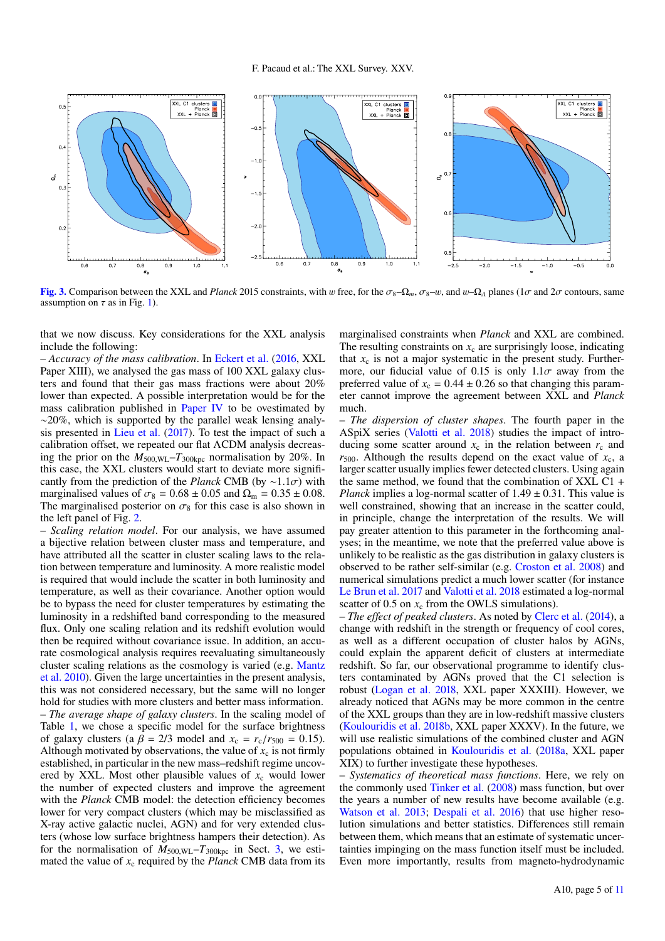

<span id="page-4-0"></span>[Fig. 3.](http://dexter.edpsciences.org/applet.php?DOI=10.1051/0004-6361/201834022&pdf_id=0) Comparison between the XXL and *Planck* 2015 constraints, with w free, for the  $\sigma_8 - \Omega_m$ ,  $\sigma_8 - w$ , and  $w - \Omega_A$  planes (1 $\sigma$  and  $2\sigma$  contours, same assumption on  $\tau$  as in Fig. [1\)](#page-2-1).

that we now discuss. Key considerations for the XXL analysis include the following:

– *Accuracy of the mass calibration*. In [Eckert et al.](#page-5-28) [\(2016,](#page-5-28) XXL Paper XIII), we analysed the gas mass of 100 XXL galaxy clusters and found that their gas mass fractions were about 20% lower than expected. A possible interpretation would be for the mass calibration published in [Paper IV](#page-5-22) to be ovestimated by  $~\sim$ 20%, which is supported by the parallel weak lensing analysis presented in [Lieu et al.](#page-5-29) [\(2017\)](#page-5-29). To test the impact of such a calibration offset, we repeated our flat ΛCDM analysis decreasing the prior on the  $M_{500, WL} - T_{300kpc}$  normalisation by 20%. In this case, the XXL clusters would start to deviate more significantly from the prediction of the *Planck* CMB (by <sup>∼</sup>1.1σ) with marginalised values of  $\sigma_8 = 0.68 \pm 0.05$  and  $\Omega_m = 0.35 \pm 0.08$ . The marginalised posterior on  $\sigma_8$  for this case is also shown in the left panel of Fig. [2.](#page-3-1)

– *Scaling relation model*. For our analysis, we have assumed a bijective relation between cluster mass and temperature, and have attributed all the scatter in cluster scaling laws to the relation between temperature and luminosity. A more realistic model is required that would include the scatter in both luminosity and temperature, as well as their covariance. Another option would be to bypass the need for cluster temperatures by estimating the luminosity in a redshifted band corresponding to the measured flux. Only one scaling relation and its redshift evolution would then be required without covariance issue. In addition, an accurate cosmological analysis requires reevaluating simultaneously cluster scaling relations as the cosmology is varied (e.g. [Mantz](#page-5-30) [et al.](#page-5-30) [2010\)](#page-5-30). Given the large uncertainties in the present analysis, this was not considered necessary, but the same will no longer hold for studies with more clusters and better mass information. – *The average shape of galaxy clusters*. In the scaling model of Table [1,](#page-2-2) we chose a specific model for the surface brightness of galaxy clusters (a  $\beta = 2/3$  model and  $x_c = r_c/r_{500} = 0.15$ ). Although motivated by observations, the value of  $x_c$  is not firmly established, in particular in the new mass–redshift regime uncovered by XXL. Most other plausible values of  $x_c$  would lower the number of expected clusters and improve the agreement with the *Planck* CMB model: the detection efficiency becomes lower for very compact clusters (which may be misclassified as X-ray active galactic nuclei, AGN) and for very extended clusters (whose low surface brightness hampers their detection). As for the normalisation of  $M_{500, WL} - T_{300kpc}$  in Sect. [3,](#page-2-0) we estimated the value of  $x_c$  required by the *Planck* CMB data from its

marginalised constraints when *Planck* and XXL are combined. The resulting constraints on  $x_c$  are surprisingly loose, indicating that  $x_c$  is not a major systematic in the present study. Furthermore, our fiducial value of 0.15 is only  $1.1\sigma$  away from the preferred value of  $x_c = 0.44 \pm 0.26$  so that changing this parameter cannot improve the agreement between XXL and *Planck* much.

– *The dispersion of cluster shapes*. The fourth paper in the ASpiX series [\(Valotti et al.](#page-5-31) [2018\)](#page-5-31) studies the impact of introducing some scatter around  $x_c$  in the relation between  $r_c$  and  $r_{500}$ . Although the results depend on the exact value of  $x_c$ , a larger scatter usually implies fewer detected clusters. Using again the same method, we found that the combination of XXL C1 + *Planck* implies a log-normal scatter of  $1.49 \pm 0.31$ . This value is well constrained, showing that an increase in the scatter could, in principle, change the interpretation of the results. We will pay greater attention to this parameter in the forthcoming analyses; in the meantime, we note that the preferred value above is unlikely to be realistic as the gas distribution in galaxy clusters is observed to be rather self-similar (e.g. [Croston et al.](#page-5-32) [2008\)](#page-5-32) and numerical simulations predict a much lower scatter (for instance [Le Brun et al.](#page-5-33) [2017](#page-5-33) and [Valotti et al.](#page-5-31) [2018](#page-5-31) estimated a log-normal scatter of 0.5 on  $x_c$  from the OWLS simulations).

– *The effect of peaked clusters*. As noted by [Clerc et al.](#page-5-26) [\(2014\)](#page-5-26), a change with redshift in the strength or frequency of cool cores, as well as a different occupation of cluster halos by AGNs, could explain the apparent deficit of clusters at intermediate redshift. So far, our observational programme to identify clusters contaminated by AGNs proved that the C1 selection is robust [\(Logan et al.](#page-5-34) [2018,](#page-5-34) XXL paper XXXIII). However, we already noticed that AGNs may be more common in the centre of the XXL groups than they are in low-redshift massive clusters [\(Koulouridis et al.](#page-5-35) [2018b,](#page-5-35) XXL paper XXXV). In the future, we will use realistic simulations of the combined cluster and AGN populations obtained in [Koulouridis et al.](#page-5-36) [\(2018a,](#page-5-36) XXL paper XIX) to further investigate these hypotheses.

– *Systematics of theoretical mass functions*. Here, we rely on the commonly used [Tinker et al.](#page-5-16) [\(2008\)](#page-5-16) mass function, but over the years a number of new results have become available (e.g. [Watson et al.](#page-5-37) [2013;](#page-5-37) [Despali et al.](#page-5-38) [2016\)](#page-5-38) that use higher resolution simulations and better statistics. Differences still remain between them, which means that an estimate of systematic uncertainties impinging on the mass function itself must be included. Even more importantly, results from magneto-hydrodynamic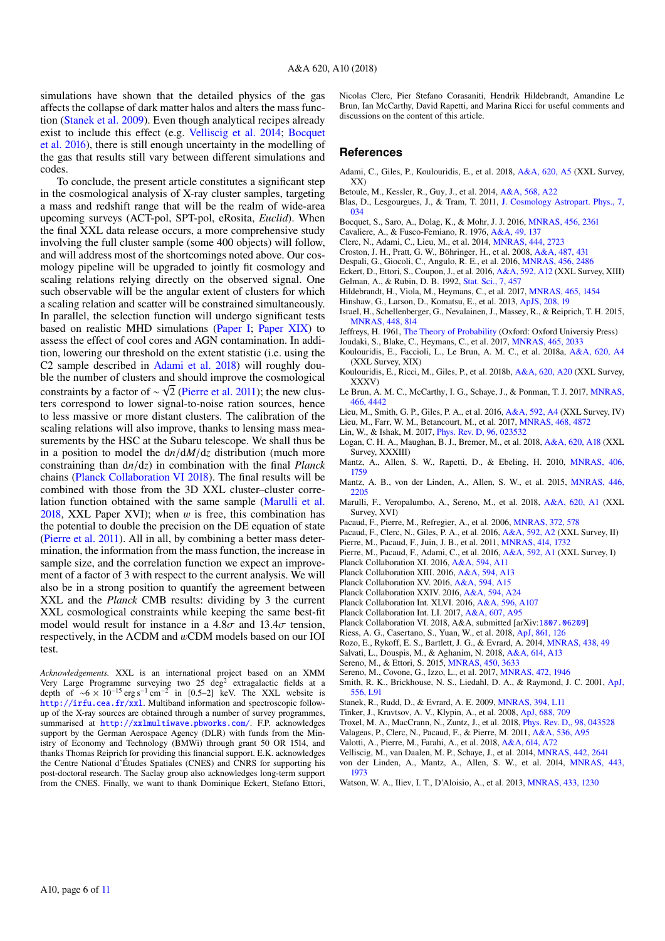simulations have shown that the detailed physics of the gas affects the collapse of dark matter halos and alters the mass function [\(Stanek et al.](#page-5-39) [2009\)](#page-5-39). Even though analytical recipes already exist to include this effect (e.g. [Velliscig et al.](#page-5-40) [2014;](#page-5-40) [Bocquet](#page-5-41) [et al.](#page-5-41) [2016\)](#page-5-41), there is still enough uncertainty in the modelling of the gas that results still vary between different simulations and codes.

To conclude, the present article constitutes a significant step in the cosmological analysis of X-ray cluster samples, targeting a mass and redshift range that will be the realm of wide-area upcoming surveys (ACT-pol, SPT-pol, eRosita, *Euclid*). When the final XXL data release occurs, a more comprehensive study involving the full cluster sample (some 400 objects) will follow, and will address most of the shortcomings noted above. Our cosmology pipeline will be upgraded to jointly fit cosmology and scaling relations relying directly on the observed signal. One such observable will be the angular extent of clusters for which a scaling relation and scatter will be constrained simultaneously. In parallel, the selection function will undergo significant tests based on realistic MHD simulations [\(Paper I;](#page-5-12) [Paper XIX\)](#page-5-36) to assess the effect of cool cores and AGN contamination. In addition, lowering our threshold on the extent statistic (i.e. using the C2 sample described in [Adami et al.](#page-5-19) [2018\)](#page-5-19) will roughly double the number of clusters and should improve the cosmological constraints by a factor of  $\sim \sqrt{2}$  [\(Pierre et al.](#page-5-13) [2011\)](#page-5-13); the new clusters correspond to lower signal-to-noise ration sources, hence to less massive or more distant clusters. The calibration of the scaling relations will also improve, thanks to lensing mass measurements by the HSC at the Subaru telescope. We shall thus be in a position to model the <sup>d</sup>*n*/d*M*/d*<sup>z</sup>* distribution (much more constraining than <sup>d</sup>*n*/d*z*) in combination with the final *Planck* chains [\(Planck Collaboration VI](#page-5-25) [2018\)](#page-5-25). The final results will be combined with those from the 3D XXL cluster–cluster correlation function obtained with the same sample [\(Marulli et al.](#page-5-42) [2018,](#page-5-42) XXL Paper XVI); when  $w$  is free, this combination has the potential to double the precision on the DE equation of state [\(Pierre et al.](#page-5-13) [2011\)](#page-5-13). All in all, by combining a better mass determination, the information from the mass function, the increase in sample size, and the correlation function we expect an improvement of a factor of 3 with respect to the current analysis. We will also be in a strong position to quantify the agreement between XXL and the *Planck* CMB results: dividing by 3 the current XXL cosmological constraints while keeping the same best-fit model would result for instance in a  $4.8\sigma$  and  $13.4\sigma$  tension, respectively, in the <sup>Λ</sup>CDM and wCDM models based on our IOI test.

*Acknowledgements.* XXL is an international project based on an XMM Very Large Programme surveying two 25 deg<sup>2</sup> extragalactic fields at a depth of ~6 × 10<sup>-15</sup> erg s<sup>-1</sup> cm<sup>-2</sup> in [0.5–2] keV. The XXL website is <http://irfu.cea.fr/xxl>. Multiband information and spectroscopic followup of the X-ray sources are obtained through a number of survey programmes, summarised at <http://xxlmultiwave.pbworks.com/>. F.P. acknowledges support by the German Aerospace Agency (DLR) with funds from the Ministry of Economy and Technology (BMWi) through grant 50 OR 1514, and thanks Thomas Reiprich for providing this financial support. E.K. acknowledges the Centre National d'Études Spatiales (CNES) and CNRS for supporting his post-doctoral research. The Saclay group also acknowledges long-term support from the CNES. Finally, we want to thank Dominique Eckert, Stefano Ettori,

Nicolas Clerc, Pier Stefano Corasaniti, Hendrik Hildebrandt, Amandine Le Brun, Ian McCarthy, David Rapetti, and Marina Ricci for useful comments and discussions on the content of this article.

#### **References**

- <span id="page-5-19"></span>Adami, C., Giles, P., Koulouridis, E., et al. 2018, [A&A, 620, A5](http://linker.aanda.org/10.1051/0004-6361/201834022/1) (XXL Survey, XX)
- <span id="page-5-27"></span>Betoule, M., Kessler, R., Guy, J., et al. 2014, [A&A, 568, A22](http://linker.aanda.org/10.1051/0004-6361/201834022/2)
- <span id="page-5-17"></span>Blas, D., Lesgourgues, J., & Tram, T. 2011, [J. Cosmology Astropart. Phys., 7,](http://linker.aanda.org/10.1051/0004-6361/201834022/3) [034](http://linker.aanda.org/10.1051/0004-6361/201834022/3)
- <span id="page-5-41"></span>Bocquet, S., Saro, A., Dolag, K., & Mohr, J. J. 2016, [MNRAS, 456, 2361](http://linker.aanda.org/10.1051/0004-6361/201834022/4)
- <span id="page-5-20"></span>Cavaliere, A., & Fusco-Femiano, R. 1976, [A&A, 49, 137](http://linker.aanda.org/10.1051/0004-6361/201834022/5)
- <span id="page-5-26"></span>Clerc, N., Adami, C., Lieu, M., et al. 2014, [MNRAS, 444, 2723](http://linker.aanda.org/10.1051/0004-6361/201834022/6)
- <span id="page-5-32"></span>Croston, J. H., Pratt, G. W., Böhringer, H., et al. 2008, [A&A, 487, 431](http://linker.aanda.org/10.1051/0004-6361/201834022/7)
- <span id="page-5-38"></span>Despali, G., Giocoli, C., Angulo, R. E., et al. 2016, [MNRAS, 456, 2486](http://linker.aanda.org/10.1051/0004-6361/201834022/8)
- <span id="page-5-44"></span><span id="page-5-28"></span>Eckert, D., Ettori, S., Coupon, J., et al. 2016, [A&A, 592, A12](http://linker.aanda.org/10.1051/0004-6361/201834022/9) (XXL Survey, XIII) Gelman, A., & Rubin, D. B. 1992, [Stat. Sci., 7, 457](http://linker.aanda.org/10.1051/0004-6361/201834022/10)
- <span id="page-5-3"></span>Hildebrandt, H., Viola, M., Heymans, C., et al. 2017, [MNRAS, 465, 1454](http://linker.aanda.org/10.1051/0004-6361/201834022/11)
- <span id="page-5-21"></span>Hinshaw, G., Larson, D., Komatsu, E., et al. 2013, [ApJS, 208, 19](http://linker.aanda.org/10.1051/0004-6361/201834022/12)
- <span id="page-5-7"></span>Israel, H., Schellenberger, G., Nevalainen, J., Massey, R., & Reiprich, T. H. 2015, [MNRAS, 448, 814](http://linker.aanda.org/10.1051/0004-6361/201834022/13)
- <span id="page-5-49"></span>Jeffreys, H. 1961, [The Theory of Probability](http://linker.aanda.org/10.1051/0004-6361/201834022/14) (Oxford: Oxford Universiy Press)
- <span id="page-5-2"></span>Joudaki, S., Blake, C., Heymans, C., et al. 2017, [MNRAS, 465, 2033](http://linker.aanda.org/10.1051/0004-6361/201834022/15)
- 
- <span id="page-5-36"></span>Koulouridis, E., Faccioli, L., Le Brun, A. M. C., et al. 2018a, [A&A, 620, A4](http://linker.aanda.org/10.1051/0004-6361/201834022/16) (XXL Survey, XIX)
- <span id="page-5-35"></span>Koulouridis, E., Ricci, M., Giles, P., et al. 2018b, [A&A, 620, A20](http://linker.aanda.org/10.1051/0004-6361/201834022/17) (XXL Survey, XXXV)
- <span id="page-5-33"></span>Le Brun, A. M. C., McCarthy, I. G., Schaye, J., & Ponman, T. J. 2017, [MNRAS,](http://linker.aanda.org/10.1051/0004-6361/201834022/18) [466, 4442](http://linker.aanda.org/10.1051/0004-6361/201834022/18)
- <span id="page-5-29"></span><span id="page-5-22"></span>Lieu, M., Smith, G. P., Giles, P. A., et al. 2016, [A&A, 592, A4](http://linker.aanda.org/10.1051/0004-6361/201834022/19) (XXL Survey, IV) Lieu, M., Farr, W. M., Betancourt, M., et al. 2017, [MNRAS, 468, 4872](http://linker.aanda.org/10.1051/0004-6361/201834022/20)
- <span id="page-5-48"></span>Lin, W., & Ishak, M. 2017, [Phys. Rev. D, 96, 023532](http://linker.aanda.org/10.1051/0004-6361/201834022/21)
- <span id="page-5-34"></span>Logan, C. H. A., Maughan, B. J., Bremer, M., et al. 2018, [A&A, 620, A18](http://linker.aanda.org/10.1051/0004-6361/201834022/22) (XXL
- <span id="page-5-30"></span>Survey, XXXIII) Mantz, A., Allen, S. W., Rapetti, D., & Ebeling, H. 2010, [MNRAS, 406,](http://linker.aanda.org/10.1051/0004-6361/201834022/23)
- <span id="page-5-9"></span>[1759](http://linker.aanda.org/10.1051/0004-6361/201834022/23) Mantz, A. B., von der Linden, A., Allen, S. W., et al. 2015, [MNRAS, 446,](http://linker.aanda.org/10.1051/0004-6361/201834022/24) [2205](http://linker.aanda.org/10.1051/0004-6361/201834022/24)
- <span id="page-5-42"></span>Marulli, F., Veropalumbo, A., Sereno, M., et al. 2018, [A&A, 620, A1](http://linker.aanda.org/10.1051/0004-6361/201834022/25) (XXL Survey, XVI)
- <span id="page-5-18"></span>Pacaud, F., Pierre, M., Refregier, A., et al. 2006, [MNRAS, 372, 578](http://linker.aanda.org/10.1051/0004-6361/201834022/26)
- <span id="page-5-14"></span>Pacaud, F., Clerc, N., Giles, P. A., et al. 2016, [A&A, 592, A2](http://linker.aanda.org/10.1051/0004-6361/201834022/27) (XXL Survey, II)
- <span id="page-5-13"></span>Pierre, M., Pacaud, F., Juin, J. B., et al. 2011, [MNRAS, 414, 1732](http://linker.aanda.org/10.1051/0004-6361/201834022/28)
- <span id="page-5-12"></span>Pierre, M., Pacaud, F., Adami, C., et al. 2016, [A&A, 592, A1](http://linker.aanda.org/10.1051/0004-6361/201834022/29) (XXL Survey, I)
- <span id="page-5-45"></span>Planck Collaboration XI. 2016, [A&A, 594, A11](http://linker.aanda.org/10.1051/0004-6361/201834022/30)
- <span id="page-5-0"></span>Planck Collaboration XIII. 2016, [A&A, 594, A13](http://linker.aanda.org/10.1051/0004-6361/201834022/31)
- <span id="page-5-46"></span>Planck Collaboration XV. 2016, [A&A, 594, A15](http://linker.aanda.org/10.1051/0004-6361/201834022/32)
- <span id="page-5-4"></span>Planck Collaboration XXIV. 2016, [A&A, 594, A24](http://linker.aanda.org/10.1051/0004-6361/201834022/33)
- <span id="page-5-47"></span><span id="page-5-24"></span>Planck Collaboration Int. XLVI. 2016, [A&A, 596, A107](http://linker.aanda.org/10.1051/0004-6361/201834022/34)
- Planck Collaboration Int. LI. 2017, [A&A, 607, A95](http://linker.aanda.org/10.1051/0004-6361/201834022/35)
- <span id="page-5-25"></span><span id="page-5-1"></span>Planck Collaboration VI. 2018, A&A, submitted [arXiv:[1807.06209](https://arxiv.org/pdf/1807.06209)]
- Riess, A. G., Casertano, S., Yuan, W., et al. 2018, [ApJ, 861, 126](http://linker.aanda.org/10.1051/0004-6361/201834022/37)
- <span id="page-5-10"></span>Rozo, E., Rykoff, E. S., Bartlett, J. G., & Evrard, A. 2014, [MNRAS, 438, 49](http://linker.aanda.org/10.1051/0004-6361/201834022/38)
- <span id="page-5-5"></span>Salvati, L., Douspis, M., & Aghanim, N. 2018, [A&A, 614, A13](http://linker.aanda.org/10.1051/0004-6361/201834022/39)
- <span id="page-5-11"></span>Sereno, M., & Ettori, S. 2015, [MNRAS, 450, 3633](http://linker.aanda.org/10.1051/0004-6361/201834022/40)
- <span id="page-5-8"></span>Sereno, M., Covone, G., Izzo, L., et al. 2017, [MNRAS, 472, 1946](http://linker.aanda.org/10.1051/0004-6361/201834022/41)
- <span id="page-5-43"></span>Smith, R. K., Brickhouse, N. S., Liedahl, D. A., & Raymond, J. C. 2001, [ApJ,](http://linker.aanda.org/10.1051/0004-6361/201834022/42) [556, L91](http://linker.aanda.org/10.1051/0004-6361/201834022/42)
- <span id="page-5-39"></span>Stanek, R., Rudd, D., & Evrard, A. E. 2009, [MNRAS, 394, L11](http://linker.aanda.org/10.1051/0004-6361/201834022/43)
- <span id="page-5-16"></span>Tinker, J., Kravtsov, A. V., Klypin, A., et al. 2008, [ApJ, 688, 709](http://linker.aanda.org/10.1051/0004-6361/201834022/44)
- <span id="page-5-15"></span>Troxel, M. A., MacCrann, N., Zuntz, J., et al. 2018, [Phys. Rev. D,, 98, 043528](http://linker.aanda.org/10.1051/0004-6361/201834022/45)
- <span id="page-5-23"></span>Valageas, P., Clerc, N., Pacaud, F., & Pierre, M. 2011, [A&A, 536, A95](http://linker.aanda.org/10.1051/0004-6361/201834022/46)
- Valotti, A., Pierre, M., Farahi, A., et al. 2018, [A&A, 614, A72](http://linker.aanda.org/10.1051/0004-6361/201834022/47)
- <span id="page-5-40"></span><span id="page-5-31"></span><span id="page-5-6"></span>Velliscig, M., van Daalen, M. P., Schaye, J., et al. 2014, [MNRAS, 442, 2641](http://linker.aanda.org/10.1051/0004-6361/201834022/48)
- von der Linden, A., Mantz, A., Allen, S. W., et al. 2014, [MNRAS, 443,](http://linker.aanda.org/10.1051/0004-6361/201834022/49) [1973](http://linker.aanda.org/10.1051/0004-6361/201834022/49)
- <span id="page-5-37"></span>Watson, W. A., Iliev, I. T., D'Aloisio, A., et al. 2013, [MNRAS, 433, 1230](http://linker.aanda.org/10.1051/0004-6361/201834022/50)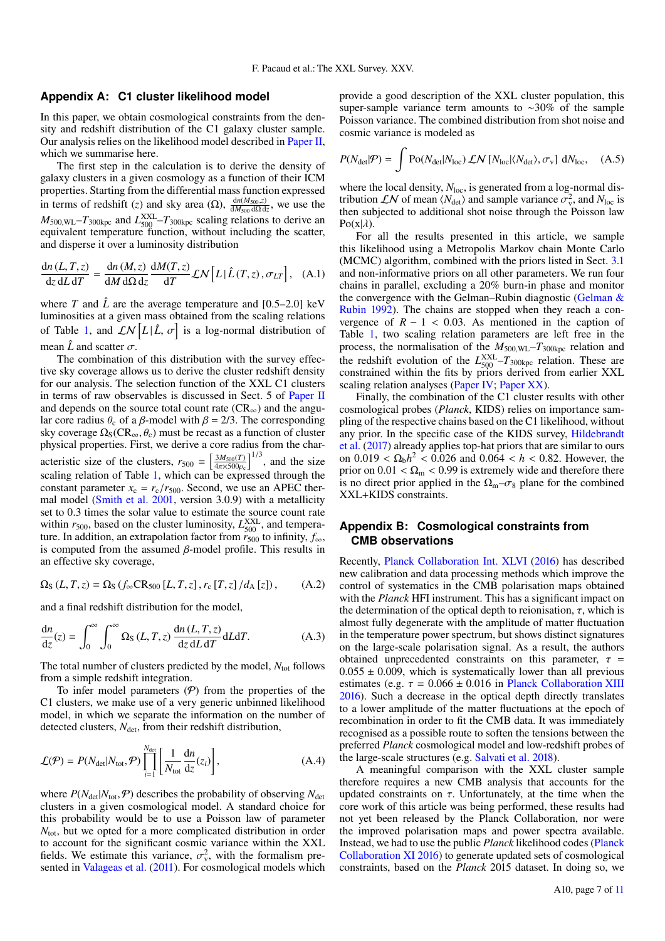#### <span id="page-6-0"></span>**Appendix A: C1 cluster likelihood model**

In this paper, we obtain cosmological constraints from the density and redshift distribution of the C1 galaxy cluster sample. Our analysis relies on the likelihood model described in [Paper II,](#page-5-14) which we summarise here.

The first step in the calculation is to derive the density of galaxy clusters in a given cosmology as a function of their ICM properties. Starting from the differential mass function expressed in terms of redshift (*z*) and sky area ( $\Omega$ ),  $\frac{dn(M_{500},z)}{dM_{500} d\Omega d\zeta}$ , we use the  $M_{500,\text{WL}} - T_{300\text{kpc}}$  and  $L_{500}^{\text{XXL}} - T_{300\text{kpc}}$  scaling relations to derive an equivalent temperature function, without including the scatter, and disperse it over a luminosity distribution

$$
\frac{\mathrm{d}n(L,T,z)}{\mathrm{d}z\,\mathrm{d}L\,\mathrm{d}T} = \frac{\mathrm{d}n(M,z)}{\mathrm{d}M\,\mathrm{d}\Omega\,\mathrm{d}z} \frac{\mathrm{d}M(T,z)}{\mathrm{d}T} \mathcal{L}\mathcal{N}\left[L|\hat{L}(T,z),\sigma_{LT}\right],\quad\text{(A.1)}
$$

where *T* and  $\hat{L}$  are the average temperature and [0.5–2.0] keV luminosities at a given mass obtained from the scaling relations of Table [1,](#page-2-2) and  $LN[L|\hat{L}, \sigma]$  is a log-normal distribution of mean  $\hat{L}$  and scatter  $\sigma$ .

The combination of this distribution with the survey effective sky coverage allows us to derive the cluster redshift density for our analysis. The selection function of the XXL C1 clusters in terms of raw observables is discussed in Sect. 5 of [Paper II](#page-5-14) and depends on the source total count rate ( $CR_{\infty}$ ) and the angular core radius  $\theta_c$  of a  $\beta$ -model with  $\beta = 2/3$ . The corresponding sky coverage  $\Omega_{\rm S}({\rm CR}_{\infty}, \theta_{\rm c})$  must be recast as a function of cluster physical properties. First, we derive a core radius from the characteristic size of the clusters,  $r_{500} = \left[\frac{3M_{500}(T)}{4\pi\times500\rho_c}\right]$  $\int_0^{1/3}$ , and the size scaling relation of Table [1,](#page-2-2) which can be expressed through the constant parameter  $x_c = r_c/r_{500}$ . Second, we use an APEC thermal model [\(Smith et al.](#page-5-43) [2001,](#page-5-43) version 3.0.9) with a metallicity set to 0.3 times the solar value to estimate the source count rate within  $r_{500}$ , based on the cluster luminosity,  $L_{500}^{XXL}$ , and temperature. In addition, an extrapolation factor from  $\overline{r}_{500}$  to infinity,  $f_{\infty}$ , is computed from the assumed β-model profile. This results in an effective sky coverage,

$$
\Omega_{\rm S}(L, T, z) = \Omega_{\rm S}(f_{\infty}CR_{500}[L, T, z], r_{\rm c}[T, z]/d_{\rm A}[z]), \tag{A.2}
$$

and a final redshift distribution for the model,

$$
\frac{dn}{dz}(z) = \int_0^\infty \int_0^\infty \Omega_S(L, T, z) \frac{dn(L, T, z)}{dz dL dT} dL dT.
$$
 (A.3)

The total number of clusters predicted by the model,  $N_{\text{tot}}$  follows from a simple redshift integration.

To infer model parameters  $(P)$  from the properties of the C1 clusters, we make use of a very generic unbinned likelihood model, in which we separate the information on the number of detected clusters,  $N_{\text{det}}$ , from their redshift distribution,

$$
\mathcal{L}(\mathcal{P}) = P(N_{\text{det}}|N_{\text{tot}}, \mathcal{P}) \prod_{i=1}^{N_{\text{det}}} \left[ \frac{1}{N_{\text{tot}}} \frac{dn}{dz}(z_i) \right],
$$
 (A.4)

where  $P(N_{\text{det}}|N_{\text{tot}}, \mathcal{P})$  describes the probability of observing  $N_{\text{det}}$ clusters in a given cosmological model. A standard choice for this probability would be to use a Poisson law of parameter *N*<sub>tot</sub>, but we opted for a more complicated distribution in order to account for the significant cosmic variance within the XXL fields. We estimate this variance,  $\sigma_v^2$ , with the formalism pre-<br>sented in Valageas et al. (2011). For cosmological models which sented in [Valageas et al.](#page-5-23) [\(2011\)](#page-5-23). For cosmological models which

provide a good description of the XXL cluster population, this super-sample variance term amounts to ∼30% of the sample Poisson variance. The combined distribution from shot noise and cosmic variance is modeled as

$$
P(N_{\text{det}}|\mathcal{P}) = \int P\text{o}(N_{\text{det}}|N_{\text{loc}}) \mathcal{LN}\left[N_{\text{loc}}|\langle N_{\text{det}}\rangle, \sigma_{\text{v}}\right] dN_{\text{loc}}, \quad (A.5)
$$

where the local density,  $N_{\text{loc}}$ , is generated from a log-normal distribution  $LN$  of mean  $\langle N_{\text{det}} \rangle$  and sample variance  $\sigma_v^2$ , and  $N_{\text{loc}}$  is<br>then subjected to additional shot noise through the Poisson law then subjected to additional shot noise through the Poisson law  $Po(x|\lambda)$ .

For all the results presented in this article, we sample this likelihood using a Metropolis Markov chain Monte Carlo (MCMC) algorithm, combined with the priors listed in Sect. [3.1](#page-2-4) and non-informative priors on all other parameters. We run four chains in parallel, excluding a 20% burn-in phase and monitor the convergence with the Gelman–Rubin diagnostic [\(Gelman &](#page-5-44) [Rubin](#page-5-44) [1992\)](#page-5-44). The chains are stopped when they reach a convergence of  $R - 1 < 0.03$ . As mentioned in the caption of Table [1,](#page-2-2) two scaling relation parameters are left free in the process, the normalisation of the  $M_{500,\text{WL}}-T_{300\text{kpc}}$  relation and the redshift evolution of the  $L_{500}^{\text{XXL}} - T_{300\text{kpc}}$  relation. These are constrained within the fits by priors derived from earlier XXL scaling relation analyses [\(Paper IV;](#page-5-22) [Paper XX\)](#page-5-19).

Finally, the combination of the C1 cluster results with other cosmological probes (*Planck*, KIDS) relies on importance sampling of the respective chains based on the C1 likelihood, without any prior. In the specific case of the KIDS survey, [Hildebrandt](#page-5-3) [et al.](#page-5-3) [\(2017\)](#page-5-3) already applies top-hat priors that are similar to ours on  $0.019 < \Omega_b h^2 < 0.026$  and  $0.064 < h < 0.82$ . However, the prior on  $0.01 < \Omega_m < 0.99$  is extremely wide and therefore there prior on  $0.01 < \Omega_{\rm m} < 0.99$  is extremely wide and therefore there is no direct prior applied in the  $\Omega_{\rm m}$ – $\sigma_8$  plane for the combined XXL+KIDS constraints.

## <span id="page-6-1"></span>**Appendix B: Cosmological constraints from CMB observations**

Recently, [Planck Collaboration Int. XLVI](#page-5-24) [\(2016\)](#page-5-24) has described new calibration and data processing methods which improve the control of systematics in the CMB polarisation maps obtained with the *Planck* HFI instrument. This has a significant impact on the determination of the optical depth to reionisation,  $\tau$ , which is almost fully degenerate with the amplitude of matter fluctuation in the temperature power spectrum, but shows distinct signatures on the large-scale polarisation signal. As a result, the authors obtained unprecedented constraints on this parameter,  $\tau$  =  $0.055 \pm 0.009$ , which is systematically lower than all previous estimates (e.g.  $\tau = 0.066 \pm 0.016$  in [Planck Collaboration XIII](#page-5-0) [2016\)](#page-5-0). Such a decrease in the optical depth directly translates to a lower amplitude of the matter fluctuations at the epoch of recombination in order to fit the CMB data. It was immediately recognised as a possible route to soften the tensions between the preferred *Planck* cosmological model and low-redshift probes of the large-scale structures (e.g. [Salvati et al.](#page-5-5) [2018\)](#page-5-5).

A meaningful comparison with the XXL cluster sample therefore requires a new CMB analysis that accounts for the updated constraints on  $\tau$ . Unfortunately, at the time when the core work of this article was being performed, these results had not yet been released by the Planck Collaboration, nor were the improved polarisation maps and power spectra available. Instead, we had to use the public *Planck* likelihood codes [\(Planck](#page-5-45) [Collaboration XI](#page-5-45) [2016\)](#page-5-45) to generate updated sets of cosmological constraints, based on the *Planck* 2015 dataset. In doing so, we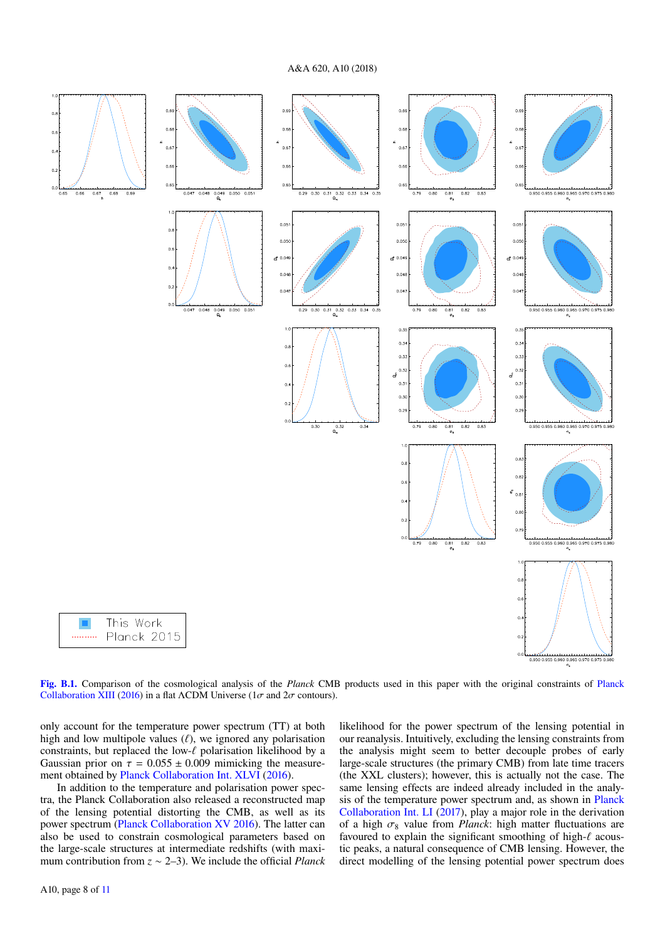A&A 620, A10 (2018)



<span id="page-7-0"></span>[Fig. B.1.](http://dexter.edpsciences.org/applet.php?DOI=10.1051/0004-6361/201834022&pdf_id=0) Comparison of the cosmological analysis of the *Planck* CMB products used in this paper with the original constraints of [Planck](#page-5-0) [Collaboration XIII](#page-5-0) [\(2016\)](#page-5-0) in a flat  $\Lambda$ CDM Universe (1 $\sigma$  and  $2\sigma$  contours).

only account for the temperature power spectrum (TT) at both high and low multipole values  $(\ell)$ , we ignored any polarisation constraints, but replaced the low- $\ell$  polarisation likelihood by a Gaussian prior on  $\tau = 0.055 \pm 0.009$  mimicking the measurement obtained by [Planck Collaboration Int. XLVI](#page-5-24) [\(2016\)](#page-5-24).

In addition to the temperature and polarisation power spectra, the Planck Collaboration also released a reconstructed map of the lensing potential distorting the CMB, as well as its power spectrum [\(Planck Collaboration XV](#page-5-46) [2016\)](#page-5-46). The latter can also be used to constrain cosmological parameters based on the large-scale structures at intermediate redshifts (with maximum contribution from *z* ∼ 2–3). We include the official *Planck* likelihood for the power spectrum of the lensing potential in our reanalysis. Intuitively, excluding the lensing constraints from the analysis might seem to better decouple probes of early large-scale structures (the primary CMB) from late time tracers (the XXL clusters); however, this is actually not the case. The same lensing effects are indeed already included in the analysis of the temperature power spectrum and, as shown in [Planck](#page-5-47) [Collaboration Int. LI](#page-5-47) [\(2017\)](#page-5-47), play a major role in the derivation of a high  $\sigma_8$  value from *Planck*: high matter fluctuations are favoured to explain the significant smoothing of high- $\ell$  acoustic peaks, a natural consequence of CMB lensing. However, the direct modelling of the lensing potential power spectrum does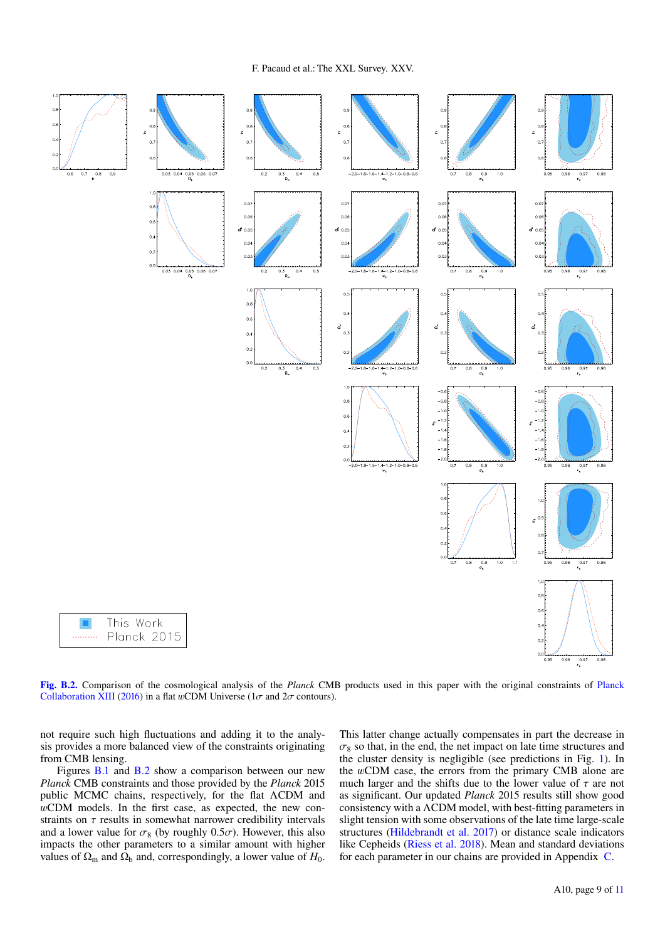

<span id="page-8-0"></span>[Fig. B.2.](http://dexter.edpsciences.org/applet.php?DOI=10.1051/0004-6361/201834022&pdf_id=0) Comparison of the cosmological analysis of the *Planck* CMB products used in this paper with the original constraints of [Planck](#page-5-0) [Collaboration XIII](#page-5-0) [\(2016\)](#page-5-0) in a flat wCDM Universe ( $1\sigma$  and  $2\sigma$  contours).

not require such high fluctuations and adding it to the analysis provides a more balanced view of the constraints originating from CMB lensing.

Figures [B.1](#page-7-0) and [B.2](#page-8-0) show a comparison between our new *Planck* CMB constraints and those provided by the *Planck* 2015 public MCMC chains, respectively, for the flat ΛCDM and wCDM models. In the first case, as expected, the new constraints on  $\tau$  results in somewhat narrower credibility intervals and a lower value for  $\sigma_8$  (by roughly 0.5 $\sigma$ ). However, this also impacts the other parameters to a similar amount with higher values of  $\Omega_{\rm m}$  and  $\Omega_{\rm b}$  and, correspondingly, a lower value of  $H_0$ . This latter change actually compensates in part the decrease in  $\sigma_8$  so that, in the end, the net impact on late time structures and the cluster density is negligible (see predictions in Fig. [1\)](#page-2-1). In the wCDM case, the errors from the primary CMB alone are much larger and the shifts due to the lower value of  $\tau$  are not as significant. Our updated *Planck* 2015 results still show good consistency with a ΛCDM model, with best-fitting parameters in slight tension with some observations of the late time large-scale structures [\(Hildebrandt et al.](#page-5-3) [2017\)](#page-5-3) or distance scale indicators like Cepheids [\(Riess et al.](#page-5-1) [2018\)](#page-5-1). Mean and standard deviations for each parameter in our chains are provided in Appendix [C.](#page-9-0)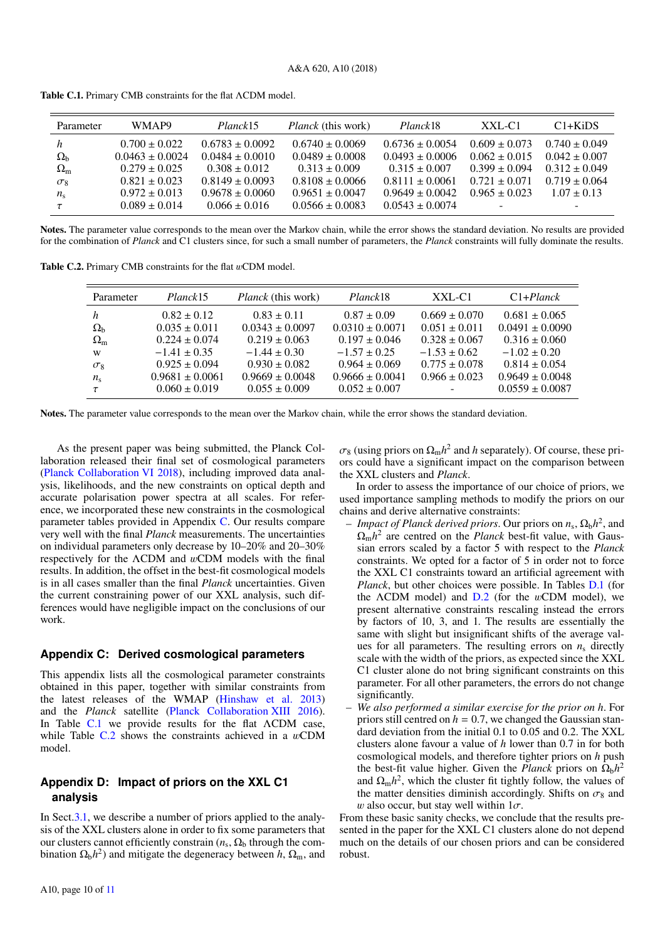<span id="page-9-1"></span>

| Parameter        | WMAP9               | Planck15            | <i>Planck</i> (this work) | Planck18            | XXL-C1            | $C1+KiDS$         |
|------------------|---------------------|---------------------|---------------------------|---------------------|-------------------|-------------------|
| h                | $0.700 \pm 0.022$   | $0.6783 \pm 0.0092$ | $0.6740 \pm 0.0069$       | $0.6736 \pm 0.0054$ | $0.609 \pm 0.073$ | $0.740 \pm 0.049$ |
| $\Omega_{\rm h}$ | $0.0463 \pm 0.0024$ | $0.0484 \pm 0.0010$ | $0.0489 \pm 0.0008$       | $0.0493 \pm 0.0006$ | $0.062 \pm 0.015$ | $0.042 \pm 0.007$ |
| $\Omega_{\rm m}$ | $0.279 \pm 0.025$   | $0.308 \pm 0.012$   | $0.313 \pm 0.009$         | $0.315 + 0.007$     | $0.399 \pm 0.094$ | $0.312 + 0.049$   |
| $\sigma_8$       | $0.821 \pm 0.023$   | $0.8149 \pm 0.0093$ | $0.8108 \pm 0.0066$       | $0.8111 \pm 0.0061$ | $0.721 + 0.071$   | $0.719 \pm 0.064$ |
| $n_{\rm s}$      | $0.972 \pm 0.013$   | $0.9678 \pm 0.0060$ | $0.9651 \pm 0.0047$       | $0.9649 \pm 0.0042$ | $0.965 + 0.023$   | $1.07 + 0.13$     |
| $\tau$           | $0.089 \pm 0.014$   | $0.066 \pm 0.016$   | $0.0566 \pm 0.0083$       | $0.0543 \pm 0.0074$ |                   |                   |

Table C.1. Primary CMB constraints for the flat ΛCDM model.

Notes. The parameter value corresponds to the mean over the Markov chain, while the error shows the standard deviation. No results are provided for the combination of *Planck* and C1 clusters since, for such a small number of parameters, the *Planck* constraints will fully dominate the results.

Table C.2. Primary CMB constraints for the flat wCDM model.

<span id="page-9-2"></span>

| Parameter        | Planck15            | <i>Planck</i> (this work) | Planck18            | XXL-C1                   | $C1+Planck$         |
|------------------|---------------------|---------------------------|---------------------|--------------------------|---------------------|
| h                | $0.82 \pm 0.12$     | $0.83 \pm 0.11$           | $0.87 \pm 0.09$     | $0.669 \pm 0.070$        | $0.681 \pm 0.065$   |
| $\Omega_{\rm h}$ | $0.035 \pm 0.011$   | $0.0343 \pm 0.0097$       | $0.0310 \pm 0.0071$ | $0.051 \pm 0.011$        | $0.0491 \pm 0.0090$ |
| $\Omega_{\rm m}$ | $0.224 \pm 0.074$   | $0.219 \pm 0.063$         | $0.197 \pm 0.046$   | $0.328 \pm 0.067$        | $0.316 \pm 0.060$   |
| W                | $-1.41 \pm 0.35$    | $-1.44 \pm 0.30$          | $-1.57 \pm 0.25$    | $-1.53 \pm 0.62$         | $-1.02 \pm 0.20$    |
| $\sigma_8$       | $0.925 \pm 0.094$   | $0.930 \pm 0.082$         | $0.964 \pm 0.069$   | $0.775 \pm 0.078$        | $0.814 \pm 0.054$   |
| $n_{\rm s}$      | $0.9681 \pm 0.0061$ | $0.9669 \pm 0.0048$       | $0.9666 \pm 0.0041$ | $0.966 \pm 0.023$        | $0.9649 \pm 0.0048$ |
| $\tau$           | $0.060 \pm 0.019$   | $0.055 \pm 0.009$         | $0.052 \pm 0.007$   | $\overline{\phantom{a}}$ | $0.0559 \pm 0.0087$ |

Notes. The parameter value corresponds to the mean over the Markov chain, while the error shows the standard deviation.

As the present paper was being submitted, the Planck Collaboration released their final set of cosmological parameters [\(Planck Collaboration VI](#page-5-25) [2018\)](#page-5-25), including improved data analysis, likelihoods, and the new constraints on optical depth and accurate polarisation power spectra at all scales. For reference, we incorporated these new constraints in the cosmological parameter tables provided in Appendix [C.](#page-9-0) Our results compare very well with the final *Planck* measurements. The uncertainties on individual parameters only decrease by 10–20% and 20–30% respectively for the <sup>Λ</sup>CDM and wCDM models with the final results. In addition, the offset in the best-fit cosmological models is in all cases smaller than the final *Planck* uncertainties. Given the current constraining power of our XXL analysis, such differences would have negligible impact on the conclusions of our work.

#### <span id="page-9-0"></span>**Appendix C: Derived cosmological parameters**

This appendix lists all the cosmological parameter constraints obtained in this paper, together with similar constraints from the latest releases of the WMAP [\(Hinshaw et al.](#page-5-21) [2013\)](#page-5-21) and the *Planck* satellite [\(Planck Collaboration XIII](#page-5-0) [2016\)](#page-5-0). In Table [C.1](#page-9-1) we provide results for the flat ΛCDM case, while Table  $C.2$  shows the constraints achieved in a  $wCDM$ model.

## **Appendix D: Impact of priors on the XXL C1 analysis**

In Sect[.3.1,](#page-2-4) we describe a number of priors applied to the analysis of the XXL clusters alone in order to fix some parameters that our clusters cannot efficiently constrain  $(n_s, \Omega_b$  through the combination  $\Omega_{\rm b}h^2$ ) and mitigate the degeneracy between *h*,  $\Omega_{\rm m}$ , and  $\sigma_8$  (using priors on  $\Omega_m h^2$  and *h* separately). Of course, these priors could have a significant impact on the comparison between ors could have a significant impact on the comparison between the XXL clusters and *Planck*.

In order to assess the importance of our choice of priors, we used importance sampling methods to modify the priors on our chains and derive alternative constraints:

- $-$  *Impact of Planck derived priors.* Our priors on  $n_s$ ,  $\Omega_b h^2$ , and  $\Omega_{\rm m}h^2$  are centred on the *Planck* best-fit value, with Gaussian errors scaled by a factor 5 with respect to the *Planck* constraints. We opted for a factor of 5 in order not to force the XXL C1 constraints toward an artificial agreement with *Planck*, but other choices were possible. In Tables [D.1](#page-10-2) (for the  $\Lambda$ CDM model) and  $D.2$  (for the wCDM model), we present alternative constraints rescaling instead the errors by factors of 10, 3, and 1. The results are essentially the same with slight but insignificant shifts of the average values for all parameters. The resulting errors on  $n_s$  directly scale with the width of the priors, as expected since the XXL C1 cluster alone do not bring significant constraints on this parameter. For all other parameters, the errors do not change significantly.
- *We also performed a similar exercise for the prior on h*. For priors still centred on  $h = 0.7$ , we changed the Gaussian standard deviation from the initial 0.1 to 0.05 and 0.2. The XXL clusters alone favour a value of *h* lower than 0.7 in for both cosmological models, and therefore tighter priors on *h* push the best-fit value higher. Given the *Planck* priors on  $\Omega_b h^2$ and  $\Omega_{\rm m}h^2$ , which the cluster fit tightly follow, the values of the matter densities diminish accordingly. Shifts on  $\sigma_8$  and w also occur, but stay well within  $1\sigma$ .

From these basic sanity checks, we conclude that the results presented in the paper for the XXL C1 clusters alone do not depend much on the details of our chosen priors and can be considered robust.